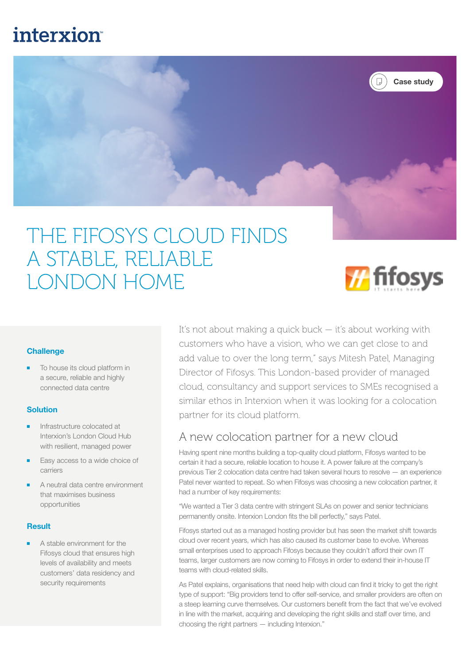# **interxion**



# THE FIFOSYS CLOUD FINDS A STABLE, RELIABLE LONDON HOME



#### **Challenge**

To house its cloud platform in a secure, reliable and highly connected data centre

#### **Solution**

- Infrastructure colocated at Interxion's London Cloud Hub with resilient, managed power
- Easy access to a wide choice of carriers
- A neutral data centre environment that maximises business opportunities

#### Result

A stable environment for the Fifosys cloud that ensures high levels of availability and meets customers' data residency and security requirements

It's not about making a quick buck — it's about working with customers who have a vision, who we can get close to and add value to over the long term," says Mitesh Patel, Managing Director of Fifosys. This London-based provider of managed cloud, consultancy and support services to SMEs recognised a similar ethos in Interxion when it was looking for a colocation partner for its cloud platform.

### A new colocation partner for a new cloud

Having spent nine months building a top-quality cloud platform, Fifosys wanted to be certain it had a secure, reliable location to house it. A power failure at the company's previous Tier 2 colocation data centre had taken several hours to resolve — an experience Patel never wanted to repeat. So when Fifosys was choosing a new colocation partner, it had a number of key requirements:

"We wanted a Tier 3 data centre with stringent SLAs on power and senior technicians permanently onsite. Interxion London fits the bill perfectly," says Patel.

Fifosys started out as a managed hosting provider but has seen the market shift towards cloud over recent years, which has also caused its customer base to evolve. Whereas small enterprises used to approach Fifosys because they couldn't afford their own IT teams, larger customers are now coming to Fifosys in order to extend their in-house IT teams with cloud-related skills.

As Patel explains, organisations that need help with cloud can find it tricky to get the right type of support: "Big providers tend to offer self-service, and smaller providers are often on a steep learning curve themselves. Our customers benefit from the fact that we've evolved in line with the market, acquiring and developing the right skills and staff over time, and choosing the right partners — including Interxion."